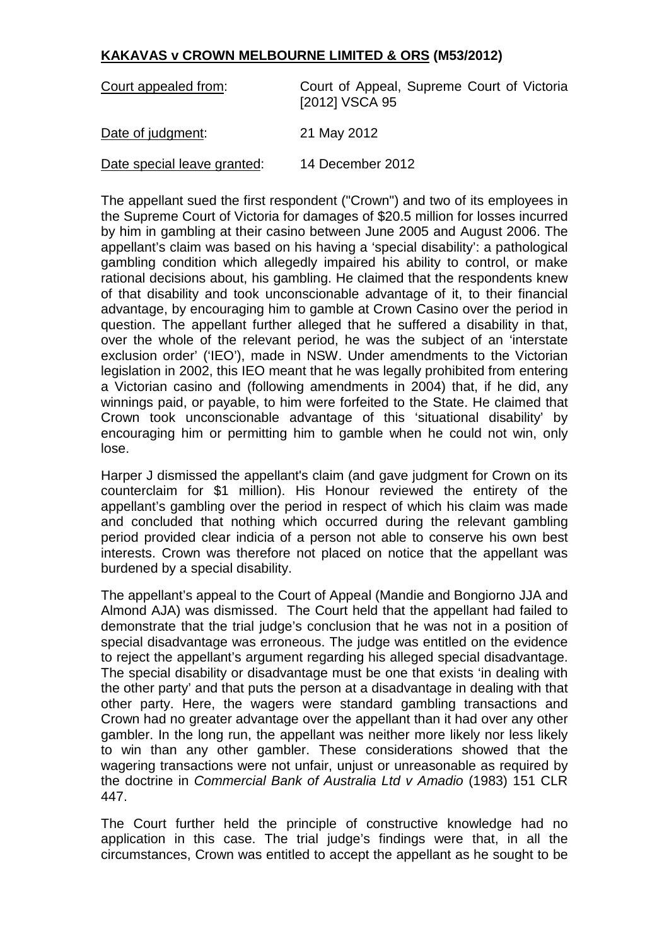## **KAKAVAS v CROWN MELBOURNE LIMITED & ORS (M53/2012)**

| Court appealed from:        | Court of Appeal, Supreme Court of Victoria<br>[2012] VSCA 95 |
|-----------------------------|--------------------------------------------------------------|
| Date of judgment:           | 21 May 2012                                                  |
| Date special leave granted: | 14 December 2012                                             |

The appellant sued the first respondent ("Crown") and two of its employees in the Supreme Court of Victoria for damages of \$20.5 million for losses incurred by him in gambling at their casino between June 2005 and August 2006. The appellant's claim was based on his having a 'special disability': a pathological gambling condition which allegedly impaired his ability to control, or make rational decisions about, his gambling. He claimed that the respondents knew of that disability and took unconscionable advantage of it, to their financial advantage, by encouraging him to gamble at Crown Casino over the period in question. The appellant further alleged that he suffered a disability in that, over the whole of the relevant period, he was the subject of an 'interstate exclusion order' ('IEO'), made in NSW. Under amendments to the Victorian legislation in 2002, this IEO meant that he was legally prohibited from entering a Victorian casino and (following amendments in 2004) that, if he did, any winnings paid, or payable, to him were forfeited to the State. He claimed that Crown took unconscionable advantage of this 'situational disability' by encouraging him or permitting him to gamble when he could not win, only lose.

Harper J dismissed the appellant's claim (and gave judgment for Crown on its counterclaim for \$1 million). His Honour reviewed the entirety of the appellant's gambling over the period in respect of which his claim was made and concluded that nothing which occurred during the relevant gambling period provided clear indicia of a person not able to conserve his own best interests. Crown was therefore not placed on notice that the appellant was burdened by a special disability.

The appellant's appeal to the Court of Appeal (Mandie and Bongiorno JJA and Almond AJA) was dismissed. The Court held that the appellant had failed to demonstrate that the trial judge's conclusion that he was not in a position of special disadvantage was erroneous. The judge was entitled on the evidence to reject the appellant's argument regarding his alleged special disadvantage. The special disability or disadvantage must be one that exists 'in dealing with the other party' and that puts the person at a disadvantage in dealing with that other party. Here, the wagers were standard gambling transactions and Crown had no greater advantage over the appellant than it had over any other gambler. In the long run, the appellant was neither more likely nor less likely to win than any other gambler. These considerations showed that the wagering transactions were not unfair, unjust or unreasonable as required by the doctrine in *Commercial Bank of Australia Ltd v Amadio* (1983) 151 CLR 447.

The Court further held the principle of constructive knowledge had no application in this case. The trial judge's findings were that, in all the circumstances, Crown was entitled to accept the appellant as he sought to be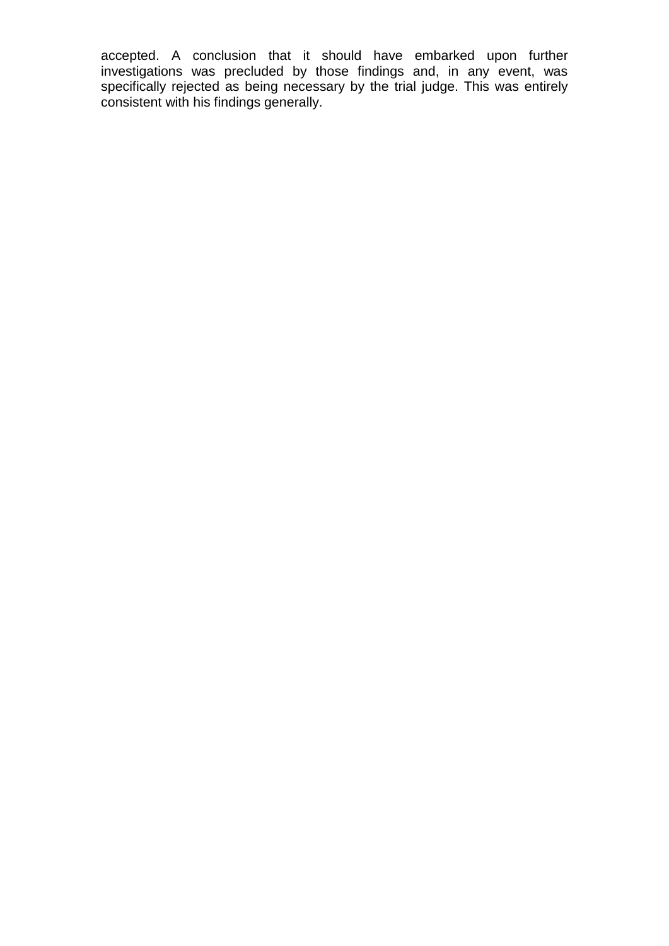accepted. A conclusion that it should have embarked upon further investigations was precluded by those findings and, in any event, was specifically rejected as being necessary by the trial judge. This was entirely consistent with his findings generally.